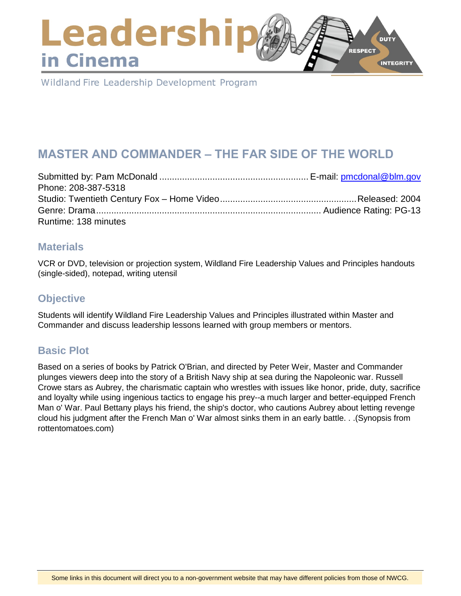### Leadershi **DUTY RESPECT** in Cinema **INTEGRITY**

Wildland Fire Leadership Development Program

# **MASTER AND COMMANDER – THE FAR SIDE OF THE WORLD**

| Phone: 208-387-5318  |  |
|----------------------|--|
|                      |  |
|                      |  |
| Runtime: 138 minutes |  |

### **Materials**

VCR or DVD, television or projection system, Wildland Fire Leadership Values and Principles handouts (single-sided), notepad, writing utensil

## **Objective**

Students will identify Wildland Fire Leadership Values and Principles illustrated within Master and Commander and discuss leadership lessons learned with group members or mentors.

## **Basic Plot**

Based on a series of books by Patrick O'Brian, and directed by Peter Weir, Master and Commander plunges viewers deep into the story of a British Navy ship at sea during the Napoleonic war. Russell Crowe stars as Aubrey, the charismatic captain who wrestles with issues like honor, pride, duty, sacrifice and loyalty while using ingenious tactics to engage his prey--a much larger and better-equipped French Man o' War. Paul Bettany plays his friend, the ship's doctor, who cautions Aubrey about letting revenge cloud his judgment after the French Man o' War almost sinks them in an early battle. . .(Synopsis from rottentomatoes.com)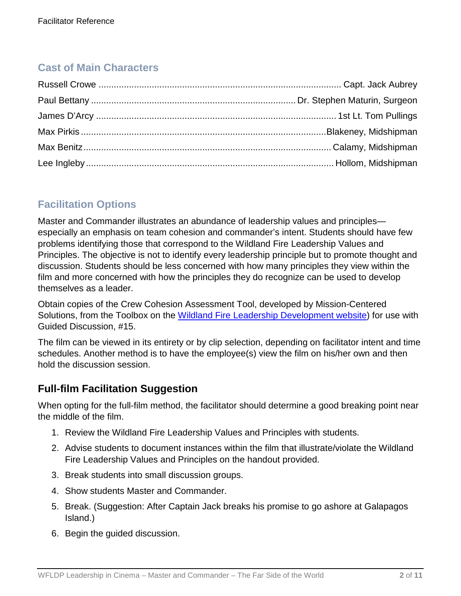## **Cast of Main Characters**

## **Facilitation Options**

Master and Commander illustrates an abundance of leadership values and principles especially an emphasis on team cohesion and commander's intent. Students should have few problems identifying those that correspond to the Wildland Fire Leadership Values and Principles. The objective is not to identify every leadership principle but to promote thought and discussion. Students should be less concerned with how many principles they view within the film and more concerned with how the principles they do recognize can be used to develop themselves as a leader.

Obtain copies of the Crew Cohesion Assessment Tool, developed by Mission-Centered Solutions, from the Toolbox on the [Wildland Fire Leadership Development website\)](https://www.fireleadership.gov/) for use with Guided Discussion, #15.

The film can be viewed in its entirety or by clip selection, depending on facilitator intent and time schedules. Another method is to have the employee(s) view the film on his/her own and then hold the discussion session.

## **Full-film Facilitation Suggestion**

When opting for the full-film method, the facilitator should determine a good breaking point near the middle of the film.

- 1. Review the Wildland Fire Leadership Values and Principles with students.
- 2. Advise students to document instances within the film that illustrate/violate the Wildland Fire Leadership Values and Principles on the handout provided.
- 3. Break students into small discussion groups.
- 4. Show students Master and Commander.
- 5. Break. (Suggestion: After Captain Jack breaks his promise to go ashore at Galapagos Island.)
- 6. Begin the guided discussion.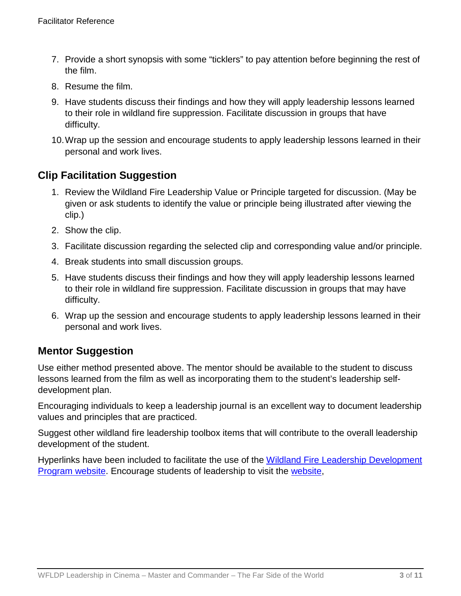- 7. Provide a short synopsis with some "ticklers" to pay attention before beginning the rest of the film.
- 8. Resume the film.
- 9. Have students discuss their findings and how they will apply leadership lessons learned to their role in wildland fire suppression. Facilitate discussion in groups that have difficulty.
- 10.Wrap up the session and encourage students to apply leadership lessons learned in their personal and work lives.

## **Clip Facilitation Suggestion**

- 1. Review the Wildland Fire Leadership Value or Principle targeted for discussion. (May be given or ask students to identify the value or principle being illustrated after viewing the clip.)
- 2. Show the clip.
- 3. Facilitate discussion regarding the selected clip and corresponding value and/or principle.
- 4. Break students into small discussion groups.
- 5. Have students discuss their findings and how they will apply leadership lessons learned to their role in wildland fire suppression. Facilitate discussion in groups that may have difficulty.
- 6. Wrap up the session and encourage students to apply leadership lessons learned in their personal and work lives.

## **Mentor Suggestion**

Use either method presented above. The mentor should be available to the student to discuss lessons learned from the film as well as incorporating them to the student's leadership selfdevelopment plan.

Encouraging individuals to keep a leadership journal is an excellent way to document leadership values and principles that are practiced.

Suggest other wildland fire leadership toolbox items that will contribute to the overall leadership development of the student.

Hyperlinks have been included to facilitate the use of the [Wildland Fire Leadership Development](https://www.fireleadership.gov/)  [Program website.](https://www.fireleadership.gov/) Encourage students of leadership to visit the [website,](https://www.fireleadership.gov/)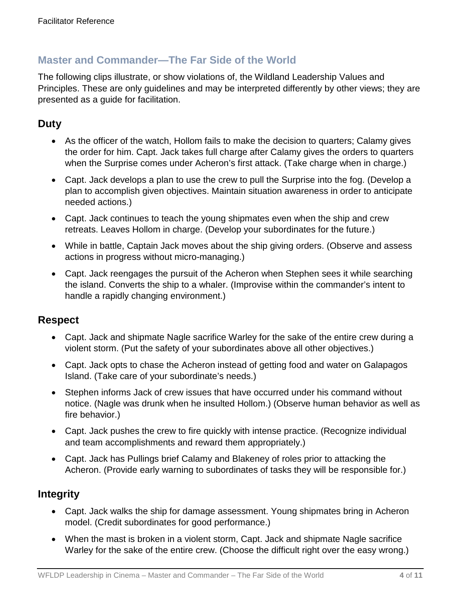### **Master and Commander—The Far Side of the World**

The following clips illustrate, or show violations of, the Wildland Leadership Values and Principles. These are only guidelines and may be interpreted differently by other views; they are presented as a guide for facilitation.

## **Duty**

- As the officer of the watch, Hollom fails to make the decision to quarters; Calamy gives the order for him. Capt. Jack takes full charge after Calamy gives the orders to quarters when the Surprise comes under Acheron's first attack. (Take charge when in charge.)
- Capt. Jack develops a plan to use the crew to pull the Surprise into the fog. (Develop a plan to accomplish given objectives. Maintain situation awareness in order to anticipate needed actions.)
- Capt. Jack continues to teach the young shipmates even when the ship and crew retreats. Leaves Hollom in charge. (Develop your subordinates for the future.)
- While in battle, Captain Jack moves about the ship giving orders. (Observe and assess actions in progress without micro-managing.)
- Capt. Jack reengages the pursuit of the Acheron when Stephen sees it while searching the island. Converts the ship to a whaler. (Improvise within the commander's intent to handle a rapidly changing environment.)

### **Respect**

- Capt. Jack and shipmate Nagle sacrifice Warley for the sake of the entire crew during a violent storm. (Put the safety of your subordinates above all other objectives.)
- Capt. Jack opts to chase the Acheron instead of getting food and water on Galapagos Island. (Take care of your subordinate's needs.)
- Stephen informs Jack of crew issues that have occurred under his command without notice. (Nagle was drunk when he insulted Hollom.) (Observe human behavior as well as fire behavior.)
- Capt. Jack pushes the crew to fire quickly with intense practice. (Recognize individual and team accomplishments and reward them appropriately.)
- Capt. Jack has Pullings brief Calamy and Blakeney of roles prior to attacking the Acheron. (Provide early warning to subordinates of tasks they will be responsible for.)

## **Integrity**

- Capt. Jack walks the ship for damage assessment. Young shipmates bring in Acheron model. (Credit subordinates for good performance.)
- When the mast is broken in a violent storm, Capt. Jack and shipmate Nagle sacrifice Warley for the sake of the entire crew. (Choose the difficult right over the easy wrong.)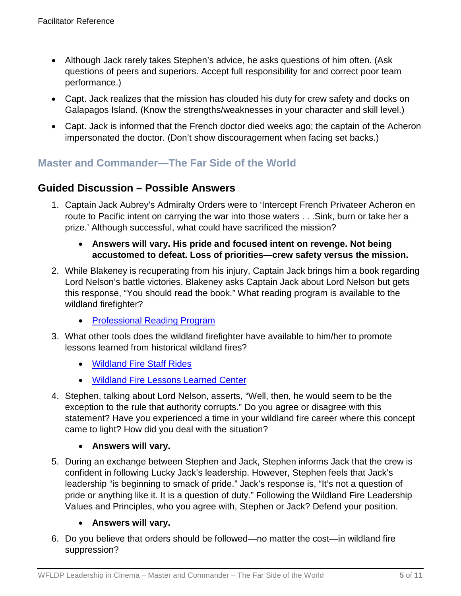- Although Jack rarely takes Stephen's advice, he asks questions of him often. (Ask questions of peers and superiors. Accept full responsibility for and correct poor team performance.)
- Capt. Jack realizes that the mission has clouded his duty for crew safety and docks on Galapagos Island. (Know the strengths/weaknesses in your character and skill level.)
- Capt. Jack is informed that the French doctor died weeks ago; the captain of the Acheron impersonated the doctor. (Don't show discouragement when facing set backs.)

## **Master and Commander—The Far Side of the World**

### **Guided Discussion – Possible Answers**

1. Captain Jack Aubrey's Admiralty Orders were to 'Intercept French Privateer Acheron en route to Pacific intent on carrying the war into those waters . . .Sink, burn or take her a prize.' Although successful, what could have sacrificed the mission?

### • **Answers will vary. His pride and focused intent on revenge. Not being accustomed to defeat. Loss of priorities—crew safety versus the mission.**

- 2. While Blakeney is recuperating from his injury, Captain Jack brings him a book regarding Lord Nelson's battle victories. Blakeney asks Captain Jack about Lord Nelson but gets this response, "You should read the book." What reading program is available to the wildland firefighter?
	- [Professional Reading Program](https://www.fireleadership.gov/)
- 3. What other tools does the wildland firefighter have available to him/her to promote lessons learned from historical wildland fires?
	- [Wildland Fire Staff Rides](https://www.fireleadership.gov/)
	- [Wildland Fire Lessons Learned Center](https://www.wildfirelessons.net/home)
- 4. Stephen, talking about Lord Nelson, asserts, "Well, then, he would seem to be the exception to the rule that authority corrupts." Do you agree or disagree with this statement? Have you experienced a time in your wildland fire career where this concept came to light? How did you deal with the situation?

### • **Answers will vary.**

5. During an exchange between Stephen and Jack, Stephen informs Jack that the crew is confident in following Lucky Jack's leadership. However, Stephen feels that Jack's leadership "is beginning to smack of pride." Jack's response is, "It's not a question of pride or anything like it. It is a question of duty." Following the Wildland Fire Leadership Values and Principles, who you agree with, Stephen or Jack? Defend your position.

### • **Answers will vary.**

6. Do you believe that orders should be followed—no matter the cost—in wildland fire suppression?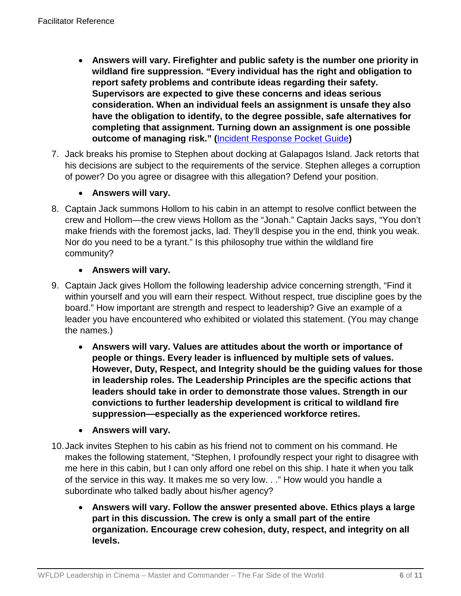- **Answers will vary. Firefighter and public safety is the number one priority in wildland fire suppression. "Every individual has the right and obligation to report safety problems and contribute ideas regarding their safety. Supervisors are expected to give these concerns and ideas serious consideration. When an individual feels an assignment is unsafe they also have the obligation to identify, to the degree possible, safe alternatives for completing that assignment. Turning down an assignment is one possible outcome of managing risk." (**[Incident Response Pocket Guide](https://www.nwcg.gov/sites/default/files/publications/pms461.pdf)**)**
- 7. Jack breaks his promise to Stephen about docking at Galapagos Island. Jack retorts that his decisions are subject to the requirements of the service. Stephen alleges a corruption of power? Do you agree or disagree with this allegation? Defend your position.

### • **Answers will vary.**

8. Captain Jack summons Hollom to his cabin in an attempt to resolve conflict between the crew and Hollom—the crew views Hollom as the "Jonah." Captain Jacks says, "You don't make friends with the foremost jacks, lad. They'll despise you in the end, think you weak. Nor do you need to be a tyrant." Is this philosophy true within the wildland fire community?

### • **Answers will vary.**

- 9. Captain Jack gives Hollom the following leadership advice concerning strength, "Find it within yourself and you will earn their respect. Without respect, true discipline goes by the board." How important are strength and respect to leadership? Give an example of a leader you have encountered who exhibited or violated this statement. (You may change the names.)
	- **Answers will vary. Values are attitudes about the worth or importance of people or things. Every leader is influenced by multiple sets of values. However, Duty, Respect, and Integrity should be the guiding values for those in leadership roles. The Leadership Principles are the specific actions that leaders should take in order to demonstrate those values. Strength in our convictions to further leadership development is critical to wildland fire suppression—especially as the experienced workforce retires.**
	- **Answers will vary.**
- 10.Jack invites Stephen to his cabin as his friend not to comment on his command. He makes the following statement, "Stephen, I profoundly respect your right to disagree with me here in this cabin, but I can only afford one rebel on this ship. I hate it when you talk of the service in this way. It makes me so very low. . ." How would you handle a subordinate who talked badly about his/her agency?
	- **Answers will vary. Follow the answer presented above. Ethics plays a large part in this discussion. The crew is only a small part of the entire organization. Encourage crew cohesion, duty, respect, and integrity on all levels.**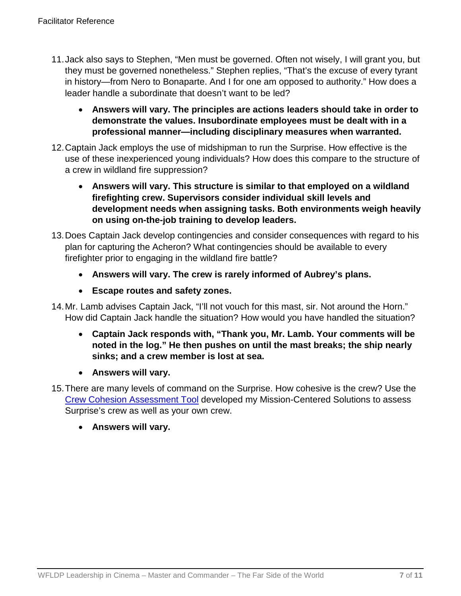- 11.Jack also says to Stephen, "Men must be governed. Often not wisely, I will grant you, but they must be governed nonetheless." Stephen replies, "That's the excuse of every tyrant in history—from Nero to Bonaparte. And I for one am opposed to authority." How does a leader handle a subordinate that doesn't want to be led?
	- **Answers will vary. The principles are actions leaders should take in order to demonstrate the values. Insubordinate employees must be dealt with in a professional manner—including disciplinary measures when warranted.**
- 12.Captain Jack employs the use of midshipman to run the Surprise. How effective is the use of these inexperienced young individuals? How does this compare to the structure of a crew in wildland fire suppression?
	- **Answers will vary. This structure is similar to that employed on a wildland firefighting crew. Supervisors consider individual skill levels and development needs when assigning tasks. Both environments weigh heavily on using on-the-job training to develop leaders.**
- 13.Does Captain Jack develop contingencies and consider consequences with regard to his plan for capturing the Acheron? What contingencies should be available to every firefighter prior to engaging in the wildland fire battle?
	- **Answers will vary. The crew is rarely informed of Aubrey's plans.**
	- **Escape routes and safety zones.**
- 14.Mr. Lamb advises Captain Jack, "I'll not vouch for this mast, sir. Not around the Horn." How did Captain Jack handle the situation? How would you have handled the situation?
	- **Captain Jack responds with, "Thank you, Mr. Lamb. Your comments will be noted in the log." He then pushes on until the mast breaks; the ship nearly sinks; and a crew member is lost at sea.**
	- **Answers will vary.**
- 15.There are many levels of command on the Surprise. How cohesive is the crew? Use the [Crew Cohesion Assessment Tool](http://www.fireleadership.gov/toolbox/documents/Crew_Cohesion_Assessment.pdf) developed my Mission-Centered Solutions to assess Surprise's crew as well as your own crew.
	- **Answers will vary.**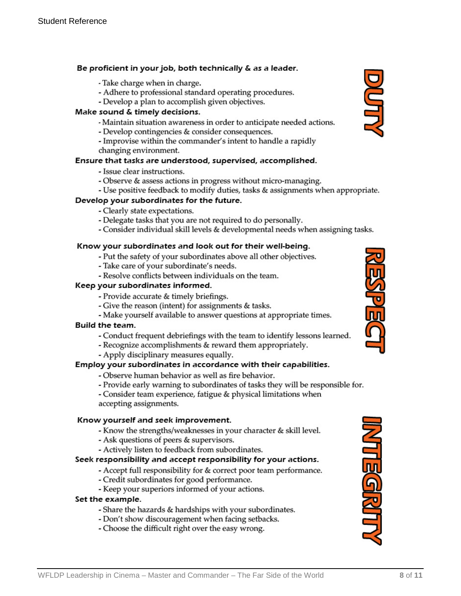### Be proficient in your job, both technically & as a leader.

- Take charge when in charge.
- Adhere to professional standard operating procedures.
- Develop a plan to accomplish given objectives.

### Make sound & timely decisions.

- Maintain situation awareness in order to anticipate needed actions.
- Develop contingencies & consider consequences.
- Improvise within the commander's intent to handle a rapidly changing environment.

### Ensure that tasks are understood, supervised, accomplished.

- Issue clear instructions.
- Observe & assess actions in progress without micro-managing.
- Use positive feedback to modify duties, tasks & assignments when appropriate.

### Develop your subordinates for the future.

- Clearly state expectations.
- Delegate tasks that you are not required to do personally.
- Consider individual skill levels & developmental needs when assigning tasks.

#### Know your subordinates and look out for their well-being.

- Put the safety of your subordinates above all other objectives.
- Take care of your subordinate's needs.
- Resolve conflicts between individuals on the team.

#### Keep your subordinates informed.

- Provide accurate & timely briefings.
- Give the reason (intent) for assignments & tasks.
- Make yourself available to answer questions at appropriate times.

### Build the team.

- Conduct frequent debriefings with the team to identify lessons learned.
- Recognize accomplishments & reward them appropriately.
- Apply disciplinary measures equally.

### Employ your subordinates in accordance with their capabilities.

- Observe human behavior as well as fire behavior.
- Provide early warning to subordinates of tasks they will be responsible for.

- Consider team experience, fatigue & physical limitations when accepting assignments.

### Know yourself and seek improvement.

- Know the strengths/weaknesses in your character & skill level.
- Ask questions of peers & supervisors.
- Actively listen to feedback from subordinates.

### Seek responsibility and accept responsibility for your actions.

- Accept full responsibility for & correct poor team performance.
- Credit subordinates for good performance.
- Keep your superiors informed of your actions.

### Set the example.

- Share the hazards & hardships with your subordinates.
- Don't show discouragement when facing setbacks.
- Choose the difficult right over the easy wrong.





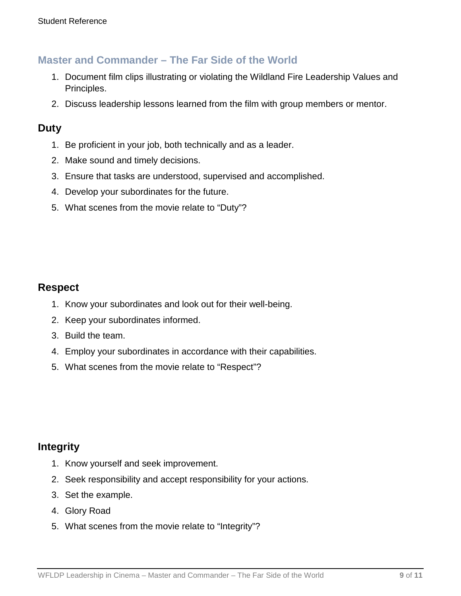### **Master and Commander – The Far Side of the World**

- 1. Document film clips illustrating or violating the Wildland Fire Leadership Values and Principles.
- 2. Discuss leadership lessons learned from the film with group members or mentor.

### **Duty**

- 1. Be proficient in your job, both technically and as a leader.
- 2. Make sound and timely decisions.
- 3. Ensure that tasks are understood, supervised and accomplished.
- 4. Develop your subordinates for the future.
- 5. What scenes from the movie relate to "Duty"?

### **Respect**

- 1. Know your subordinates and look out for their well-being.
- 2. Keep your subordinates informed.
- 3. Build the team.
- 4. Employ your subordinates in accordance with their capabilities.
- 5. What scenes from the movie relate to "Respect"?

### **Integrity**

- 1. Know yourself and seek improvement.
- 2. Seek responsibility and accept responsibility for your actions.
- 3. Set the example.
- 4. Glory Road
- 5. What scenes from the movie relate to "Integrity"?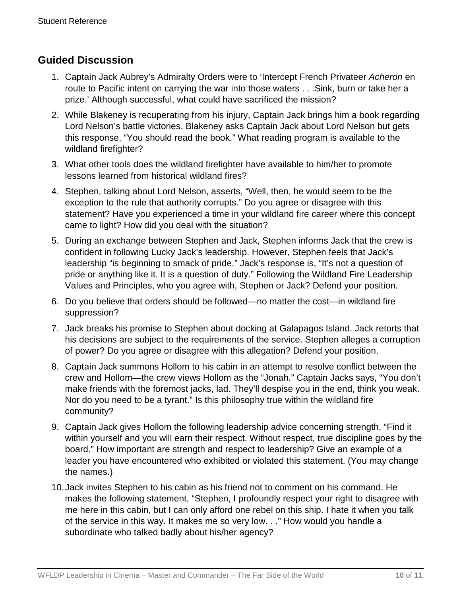## **Guided Discussion**

- 1. Captain Jack Aubrey's Admiralty Orders were to 'Intercept French Privateer *Acheron* en route to Pacific intent on carrying the war into those waters . . .Sink, burn or take her a prize.' Although successful, what could have sacrificed the mission?
- 2. While Blakeney is recuperating from his injury, Captain Jack brings him a book regarding Lord Nelson's battle victories. Blakeney asks Captain Jack about Lord Nelson but gets this response, "You should read the book." What reading program is available to the wildland firefighter?
- 3. What other tools does the wildland firefighter have available to him/her to promote lessons learned from historical wildland fires?
- 4. Stephen, talking about Lord Nelson, asserts, "Well, then, he would seem to be the exception to the rule that authority corrupts." Do you agree or disagree with this statement? Have you experienced a time in your wildland fire career where this concept came to light? How did you deal with the situation?
- 5. During an exchange between Stephen and Jack, Stephen informs Jack that the crew is confident in following Lucky Jack's leadership. However, Stephen feels that Jack's leadership "is beginning to smack of pride." Jack's response is, "It's not a question of pride or anything like it. It is a question of duty." Following the Wildland Fire Leadership Values and Principles, who you agree with, Stephen or Jack? Defend your position.
- 6. Do you believe that orders should be followed—no matter the cost—in wildland fire suppression?
- 7. Jack breaks his promise to Stephen about docking at Galapagos Island. Jack retorts that his decisions are subject to the requirements of the service. Stephen alleges a corruption of power? Do you agree or disagree with this allegation? Defend your position.
- 8. Captain Jack summons Hollom to his cabin in an attempt to resolve conflict between the crew and Hollom—the crew views Hollom as the "Jonah." Captain Jacks says, "You don't make friends with the foremost jacks, lad. They'll despise you in the end, think you weak. Nor do you need to be a tyrant." Is this philosophy true within the wildland fire community?
- 9. Captain Jack gives Hollom the following leadership advice concerning strength, "Find it within yourself and you will earn their respect. Without respect, true discipline goes by the board." How important are strength and respect to leadership? Give an example of a leader you have encountered who exhibited or violated this statement. (You may change the names.)
- 10.Jack invites Stephen to his cabin as his friend not to comment on his command. He makes the following statement, "Stephen, I profoundly respect your right to disagree with me here in this cabin, but I can only afford one rebel on this ship. I hate it when you talk of the service in this way. It makes me so very low. . ." How would you handle a subordinate who talked badly about his/her agency?